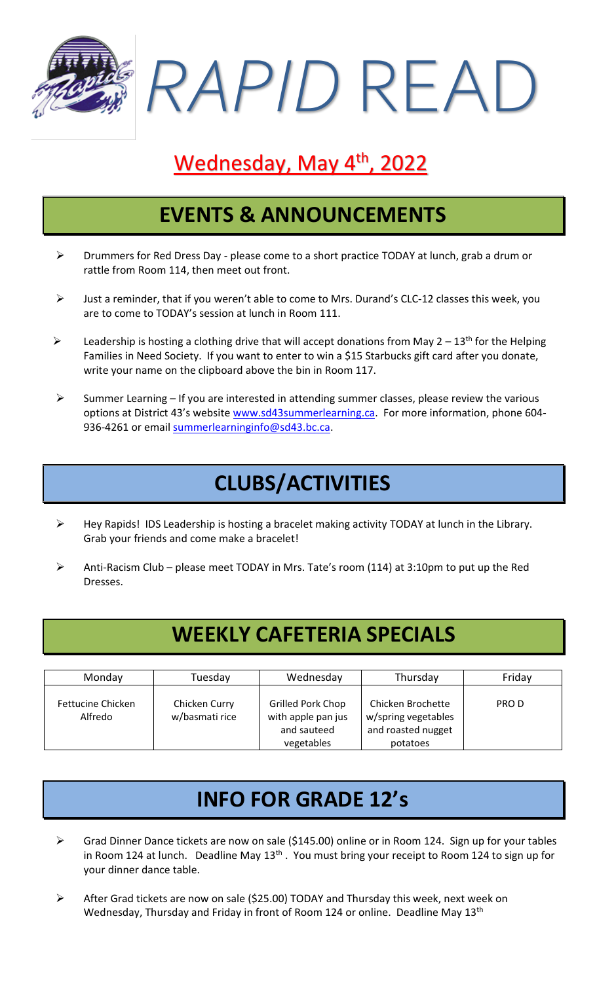*RAPID* READ

# Wednesday, May 4<sup>th</sup>, 2022

#### **EVENTS & ANNOUNCEMENTS**

- ➢ Drummers for Red Dress Day please come to a short practice TODAY at lunch, grab a drum or rattle from Room 114, then meet out front.
- ➢ Just a reminder, that if you weren't able to come to Mrs. Durand's CLC-12 classes this week, you are to come to TODAY's session at lunch in Room 111.
- $\triangleright$  Leadership is hosting a clothing drive that will accept donations from May 2 13<sup>th</sup> for the Helping Families in Need Society. If you want to enter to win a \$15 Starbucks gift card after you donate, write your name on the clipboard above the bin in Room 117.
- $\triangleright$  Summer Learning If you are interested in attending summer classes, please review the various options at District 43's website [www.sd43summerlearning.ca.](http://www.sd43summerlearning.ca/) For more information, phone 604936-4261 or email [summerlearninginfo@sd43.bc.ca.](mailto:summerlearninginfo@sd43.bc.ca)

## **CLUBS/ACTIVITIES**

- ➢ Hey Rapids! IDS Leadership is hosting a bracelet making activity TODAY at lunch in the Library. Grab your friends and come make a bracelet!
- ➢ Anti-Racism Club please meet TODAY in Mrs. Tate's room (114) at 3:10pm to put up the Red Dresses.

### **WEEKLY CAFETERIA SPECIALS**

| Monday                       | Tuesdav                         | Wednesday                                                            | Thursday                                                                   | Friday |
|------------------------------|---------------------------------|----------------------------------------------------------------------|----------------------------------------------------------------------------|--------|
| Fettucine Chicken<br>Alfredo | Chicken Curry<br>w/basmati rice | Grilled Pork Chop<br>with apple pan jus<br>and sauteed<br>vegetables | Chicken Brochette<br>w/spring vegetables<br>and roasted nugget<br>potatoes | PRO D  |

### **INFO FOR GRADE 12's**

- ➢ Grad Dinner Dance tickets are now on sale (\$145.00) online or in Room 124. Sign up for your tables in Room 124 at lunch. Deadline May 13<sup>th</sup>. You must bring your receipt to Room 124 to sign up for your dinner dance table.
- ➢ After Grad tickets are now on sale (\$25.00) TODAY and Thursday this week, next week on Wednesday, Thursday and Friday in front of Room 124 or online. Deadline May 13<sup>th</sup>